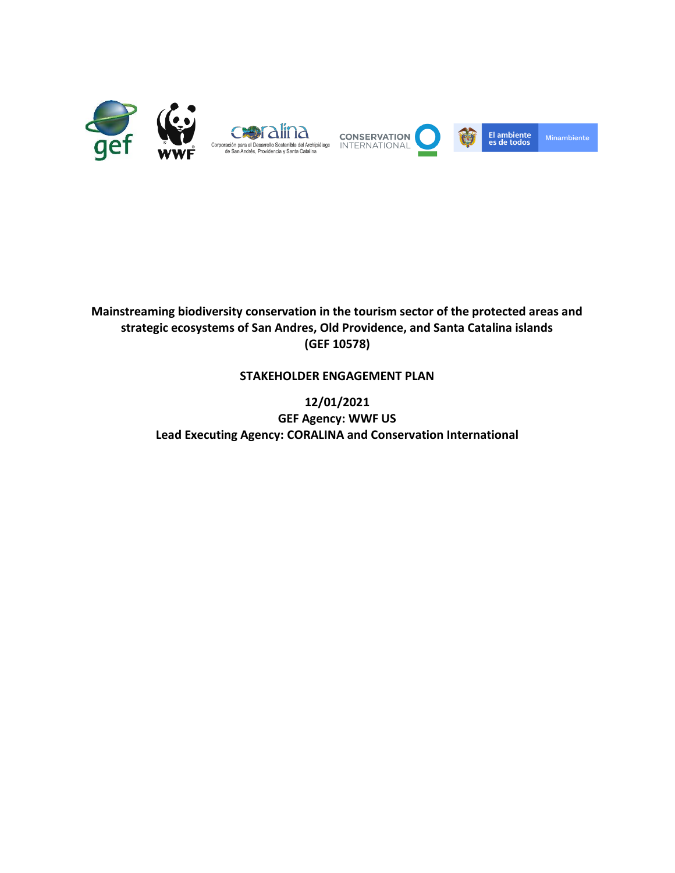

# **Mainstreaming biodiversity conservation in the tourism sector of the protected areas and strategic ecosystems of San Andres, Old Providence, and Santa Catalina islands (GEF 10578)**

# **STAKEHOLDER ENGAGEMENT PLAN**

**12/01/2021 GEF Agency: WWF US Lead Executing Agency: CORALINA and Conservation International**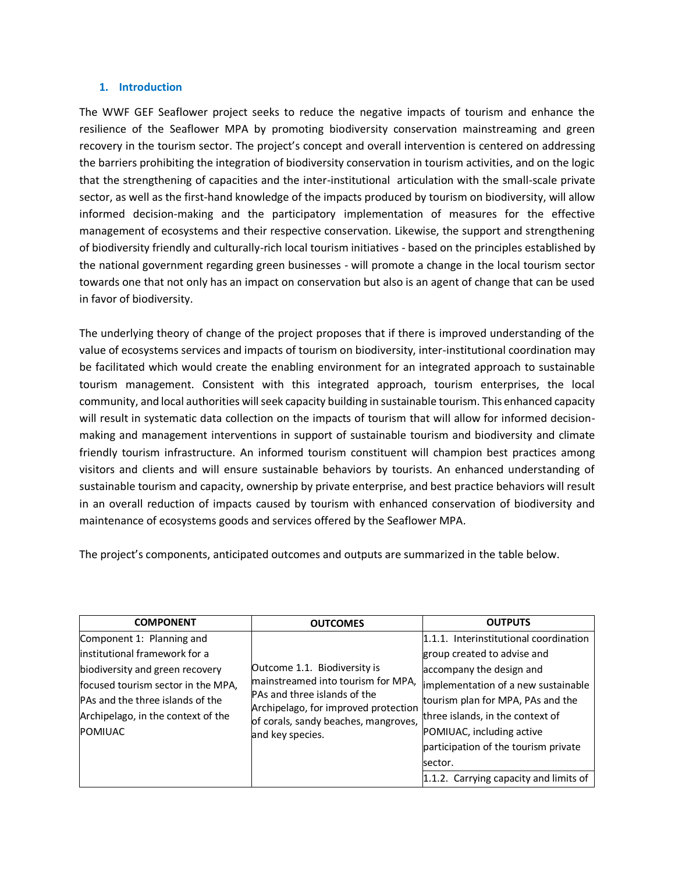#### **1. Introduction**

The WWF GEF Seaflower project seeks to reduce the negative impacts of tourism and enhance the resilience of the Seaflower MPA by promoting biodiversity conservation mainstreaming and green recovery in the tourism sector. The project's concept and overall intervention is centered on addressing the barriers prohibiting the integration of biodiversity conservation in tourism activities, and on the logic that the strengthening of capacities and the inter-institutional articulation with the small-scale private sector, as well as the first-hand knowledge of the impacts produced by tourism on biodiversity, will allow informed decision-making and the participatory implementation of measures for the effective management of ecosystems and their respective conservation. Likewise, the support and strengthening of biodiversity friendly and culturally-rich local tourism initiatives - based on the principles established by the national government regarding green businesses - will promote a change in the local tourism sector towards one that not only has an impact on conservation but also is an agent of change that can be used in favor of biodiversity.

The underlying theory of change of the project proposes that if there is improved understanding of the value of ecosystems services and impacts of tourism on biodiversity, inter-institutional coordination may be facilitated which would create the enabling environment for an integrated approach to sustainable tourism management. Consistent with this integrated approach, tourism enterprises, the local community, and local authorities will seek capacity building in sustainable tourism. This enhanced capacity will result in systematic data collection on the impacts of tourism that will allow for informed decisionmaking and management interventions in support of sustainable tourism and biodiversity and climate friendly tourism infrastructure. An informed tourism constituent will champion best practices among visitors and clients and will ensure sustainable behaviors by tourists. An enhanced understanding of sustainable tourism and capacity, ownership by private enterprise, and best practice behaviors will result in an overall reduction of impacts caused by tourism with enhanced conservation of biodiversity and maintenance of ecosystems goods and services offered by the Seaflower MPA.

The project's components, anticipated outcomes and outputs are summarized in the table below.

| <b>COMPONENT</b>                   | <b>OUTCOMES</b>                                                                                                                                                                                        | <b>OUTPUTS</b>                         |
|------------------------------------|--------------------------------------------------------------------------------------------------------------------------------------------------------------------------------------------------------|----------------------------------------|
| Component 1: Planning and          |                                                                                                                                                                                                        | 1.1.1. Interinstitutional coordination |
| linstitutional framework for a     |                                                                                                                                                                                                        | group created to advise and            |
| biodiversity and green recovery    | Outcome 1.1. Biodiversity is<br>mainstreamed into tourism for MPA,<br>PAs and three islands of the<br>Archipelago, for improved protection<br>of corals, sandy beaches, mangroves,<br>and key species. | accompany the design and               |
| focused tourism sector in the MPA, |                                                                                                                                                                                                        | implementation of a new sustainable    |
| PAs and the three islands of the   |                                                                                                                                                                                                        | tourism plan for MPA, PAs and the      |
| Archipelago, in the context of the |                                                                                                                                                                                                        | three islands, in the context of       |
| <b>POMIUAC</b>                     |                                                                                                                                                                                                        | POMIUAC, including active              |
|                                    |                                                                                                                                                                                                        | participation of the tourism private   |
|                                    |                                                                                                                                                                                                        | sector.                                |
|                                    |                                                                                                                                                                                                        | 1.1.2. Carrying capacity and limits of |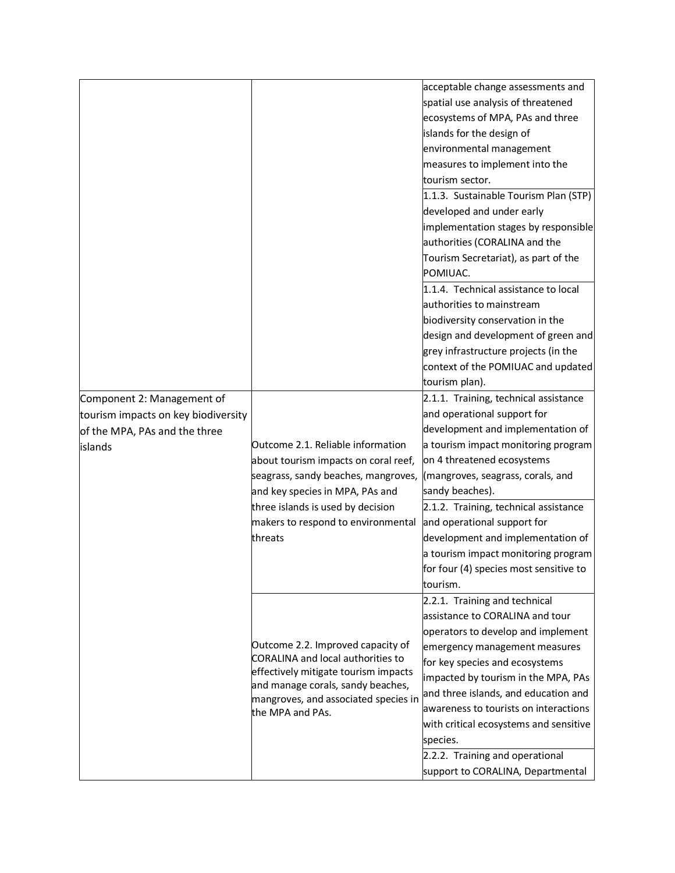|                                     |                                          | acceptable change assessments and      |
|-------------------------------------|------------------------------------------|----------------------------------------|
|                                     |                                          | spatial use analysis of threatened     |
|                                     |                                          | ecosystems of MPA, PAs and three       |
|                                     |                                          | islands for the design of              |
|                                     |                                          | environmental management               |
|                                     |                                          | measures to implement into the         |
|                                     |                                          | tourism sector.                        |
|                                     |                                          | 1.1.3. Sustainable Tourism Plan (STP)  |
|                                     |                                          | developed and under early              |
|                                     |                                          |                                        |
|                                     |                                          | implementation stages by responsible   |
|                                     |                                          | authorities (CORALINA and the          |
|                                     |                                          | Tourism Secretariat), as part of the   |
|                                     |                                          | POMIUAC.                               |
|                                     |                                          | 1.1.4. Technical assistance to local   |
|                                     |                                          | authorities to mainstream              |
|                                     |                                          | biodiversity conservation in the       |
|                                     |                                          | design and development of green and    |
|                                     |                                          | grey infrastructure projects (in the   |
|                                     |                                          | context of the POMIUAC and updated     |
|                                     |                                          | tourism plan).                         |
| Component 2: Management of          |                                          | 2.1.1. Training, technical assistance  |
| tourism impacts on key biodiversity |                                          | and operational support for            |
| of the MPA, PAs and the three       |                                          | development and implementation of      |
| islands                             | Outcome 2.1. Reliable information        | a tourism impact monitoring program    |
|                                     | about tourism impacts on coral reef,     | on 4 threatened ecosystems             |
|                                     | seagrass, sandy beaches, mangroves,      | (mangroves, seagrass, corals, and      |
|                                     | and key species in MPA, PAs and          | sandy beaches).                        |
|                                     | three islands is used by decision        | 2.1.2. Training, technical assistance  |
|                                     | makers to respond to environmental       | and operational support for            |
|                                     | threats                                  | development and implementation of      |
|                                     |                                          | a tourism impact monitoring program    |
|                                     |                                          | for four (4) species most sensitive to |
|                                     |                                          | tourism.                               |
|                                     |                                          | 2.2.1. Training and technical          |
|                                     |                                          | assistance to CORALINA and tour        |
|                                     |                                          | operators to develop and implement     |
|                                     | Outcome 2.2. Improved capacity of        | emergency management measures          |
|                                     | <b>CORALINA and local authorities to</b> | for key species and ecosystems         |
|                                     | effectively mitigate tourism impacts     | impacted by tourism in the MPA, PAs    |
|                                     | and manage corals, sandy beaches,        | and three islands, and education and   |
|                                     | mangroves, and associated species in     | awareness to tourists on interactions  |
|                                     | the MPA and PAs.                         | with critical ecosystems and sensitive |
|                                     |                                          | species.                               |
|                                     |                                          |                                        |
|                                     |                                          | 2.2.2. Training and operational        |
|                                     |                                          | support to CORALINA, Departmental      |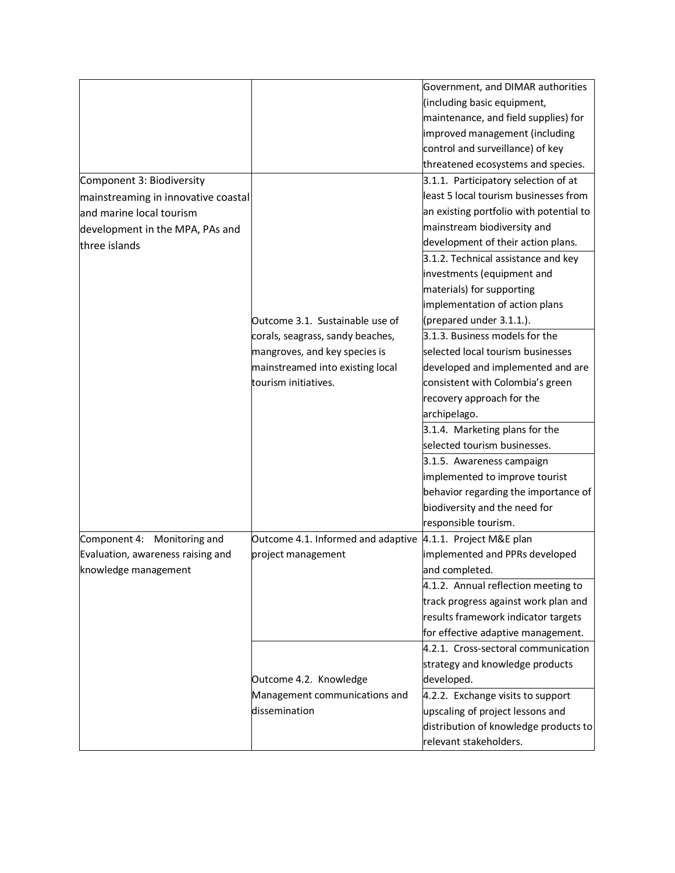|                                     |                                                              | Government, and DIMAR authorities       |
|-------------------------------------|--------------------------------------------------------------|-----------------------------------------|
|                                     |                                                              | (including basic equipment,             |
|                                     |                                                              | maintenance, and field supplies) for    |
|                                     |                                                              | improved management (including          |
|                                     |                                                              | control and surveillance) of key        |
|                                     |                                                              | threatened ecosystems and species.      |
| Component 3: Biodiversity           |                                                              | 3.1.1. Participatory selection of at    |
| mainstreaming in innovative coastal |                                                              | least 5 local tourism businesses from   |
| and marine local tourism            |                                                              | an existing portfolio with potential to |
| development in the MPA, PAs and     |                                                              | mainstream biodiversity and             |
| three islands                       |                                                              | development of their action plans.      |
|                                     |                                                              | 3.1.2. Technical assistance and key     |
|                                     |                                                              | investments (equipment and              |
|                                     |                                                              | materials) for supporting               |
|                                     |                                                              | implementation of action plans          |
|                                     | Outcome 3.1. Sustainable use of                              | (prepared under 3.1.1.).                |
|                                     | corals, seagrass, sandy beaches,                             | 3.1.3. Business models for the          |
|                                     | mangroves, and key species is                                | selected local tourism businesses       |
|                                     | mainstreamed into existing local                             | developed and implemented and are       |
|                                     | tourism initiatives.                                         | consistent with Colombia's green        |
|                                     |                                                              | recovery approach for the               |
|                                     |                                                              | archipelago.                            |
|                                     |                                                              | 3.1.4. Marketing plans for the          |
|                                     |                                                              | selected tourism businesses.            |
|                                     |                                                              | 3.1.5. Awareness campaign               |
|                                     |                                                              | implemented to improve tourist          |
|                                     |                                                              | behavior regarding the importance of    |
|                                     |                                                              | biodiversity and the need for           |
|                                     |                                                              | responsible tourism.                    |
| Component 4: Monitoring and         | Outcome 4.1. Informed and adaptive   4.1.1. Project M&E plan |                                         |
| Evaluation, awareness raising and   | project management                                           | implemented and PPRs developed          |
| knowledge management                |                                                              | and completed.                          |
|                                     |                                                              | 4.1.2. Annual reflection meeting to     |
|                                     |                                                              | track progress against work plan and    |
|                                     |                                                              | results framework indicator targets     |
|                                     |                                                              | for effective adaptive management.      |
|                                     |                                                              | 4.2.1. Cross-sectoral communication     |
|                                     |                                                              | strategy and knowledge products         |
|                                     | Outcome 4.2. Knowledge                                       | developed.                              |
|                                     | Management communications and                                | 4.2.2. Exchange visits to support       |
|                                     | dissemination                                                | upscaling of project lessons and        |
|                                     |                                                              | distribution of knowledge products to   |
|                                     |                                                              | relevant stakeholders.                  |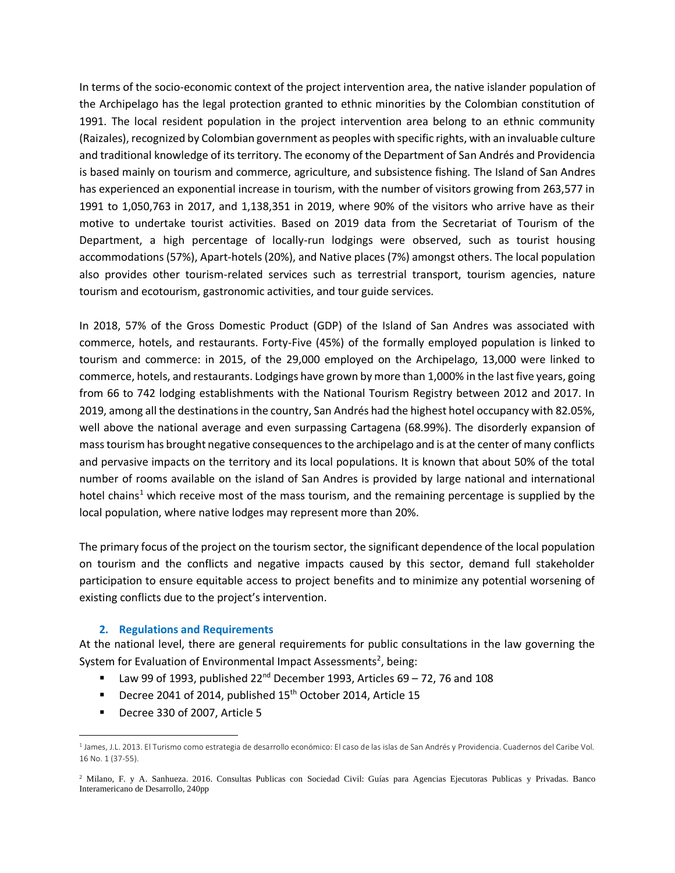In terms of the socio-economic context of the project intervention area, the native islander population of the Archipelago has the legal protection granted to ethnic minorities by the Colombian constitution of 1991. The local resident population in the project intervention area belong to an ethnic community (Raizales), recognized by Colombian government as peoples with specific rights, with an invaluable culture and traditional knowledge of its territory. The economy of the Department of San Andrés and Providencia is based mainly on tourism and commerce, agriculture, and subsistence fishing. The Island of San Andres has experienced an exponential increase in tourism, with the number of visitors growing from 263,577 in 1991 to 1,050,763 in 2017, and 1,138,351 in 2019, where 90% of the visitors who arrive have as their motive to undertake tourist activities. Based on 2019 data from the Secretariat of Tourism of the Department, a high percentage of locally-run lodgings were observed, such as tourist housing accommodations (57%), Apart-hotels (20%), and Native places (7%) amongst others. The local population also provides other tourism-related services such as terrestrial transport, tourism agencies, nature tourism and ecotourism, gastronomic activities, and tour guide services.

In 2018, 57% of the Gross Domestic Product (GDP) of the Island of San Andres was associated with commerce, hotels, and restaurants. Forty-Five (45%) of the formally employed population is linked to tourism and commerce: in 2015, of the 29,000 employed on the Archipelago, 13,000 were linked to commerce, hotels, and restaurants. Lodgings have grown by more than 1,000% in the last five years, going from 66 to 742 lodging establishments with the National Tourism Registry between 2012 and 2017. In 2019, among all the destinations in the country, San Andrés had the highest hotel occupancy with 82.05%, well above the national average and even surpassing Cartagena (68.99%). The disorderly expansion of mass tourism has brought negative consequences to the archipelago and is at the center of many conflicts and pervasive impacts on the territory and its local populations. It is known that about 50% of the total number of rooms available on the island of San Andres is provided by large national and international hotel chains<sup>1</sup> which receive most of the mass tourism, and the remaining percentage is supplied by the local population, where native lodges may represent more than 20%.

The primary focus of the project on the tourism sector, the significant dependence of the local population on tourism and the conflicts and negative impacts caused by this sector, demand full stakeholder participation to ensure equitable access to project benefits and to minimize any potential worsening of existing conflicts due to the project's intervention.

#### **2. Regulations and Requirements**

At the national level, there are general requirements for public consultations in the law governing the System for Evaluation of Environmental Impact Assessments<sup>2</sup>, being:

- **■** Law 99 of 1993, published  $22^{nd}$  December 1993, Articles 69 72, 76 and 108
- Decree 2041 of 2014, published 15<sup>th</sup> October 2014, Article 15
- Decree 330 of 2007, Article 5

<sup>1</sup> James, J.L. 2013. El Turismo como estrategia de desarrollo económico: El caso de las islas de San Andrés y Providencia. Cuadernos del Caribe Vol. 16 No. 1 (37-55).

<sup>2</sup> Milano, F. y A. Sanhueza. 2016. Consultas Publicas con Sociedad Civil: Guías para Agencias Ejecutoras Publicas y Privadas. Banco Interamericano de Desarrollo, 240pp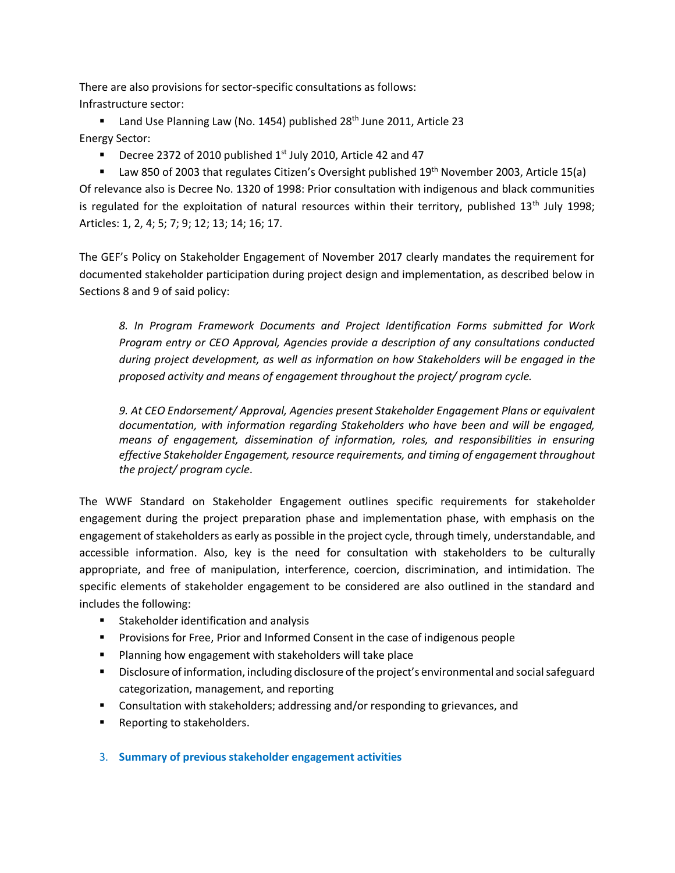There are also provisions for sector-specific consultations as follows: Infrastructure sector:

■ Land Use Planning Law (No. 1454) published 28<sup>th</sup> June 2011, Article 23 Energy Sector:

**•** Decree 2372 of 2010 published  $1<sup>st</sup>$  July 2010, Article 42 and 47

**■** Law 850 of 2003 that regulates Citizen's Oversight published 19<sup>th</sup> November 2003, Article 15(a) Of relevance also is Decree No. 1320 of 1998: Prior consultation with indigenous and black communities is regulated for the exploitation of natural resources within their territory, published 13<sup>th</sup> July 1998; Articles: 1, 2, 4; 5; 7; 9; 12; 13; 14; 16; 17.

The GEF's Policy on Stakeholder Engagement of November 2017 clearly mandates the requirement for documented stakeholder participation during project design and implementation, as described below in Sections 8 and 9 of said policy:

*8. In Program Framework Documents and Project Identification Forms submitted for Work Program entry or CEO Approval, Agencies provide a description of any consultations conducted during project development, as well as information on how Stakeholders will be engaged in the proposed activity and means of engagement throughout the project/ program cycle.* 

*9. At CEO Endorsement/ Approval, Agencies present Stakeholder Engagement Plans or equivalent documentation, with information regarding Stakeholders who have been and will be engaged, means of engagement, dissemination of information, roles, and responsibilities in ensuring effective Stakeholder Engagement, resource requirements, and timing of engagement throughout the project/ program cycle*.

The WWF Standard on Stakeholder Engagement outlines specific requirements for stakeholder engagement during the project preparation phase and implementation phase, with emphasis on the engagement of stakeholders as early as possible in the project cycle, through timely, understandable, and accessible information. Also, key is the need for consultation with stakeholders to be culturally appropriate, and free of manipulation, interference, coercion, discrimination, and intimidation. The specific elements of stakeholder engagement to be considered are also outlined in the standard and includes the following:

- Stakeholder identification and analysis
- Provisions for Free, Prior and Informed Consent in the case of indigenous people
- Planning how engagement with stakeholders will take place
- Disclosure of information, including disclosure of the project's environmental and social safeguard categorization, management, and reporting
- Consultation with stakeholders; addressing and/or responding to grievances, and
- Reporting to stakeholders.
- 3. **Summary of previous stakeholder engagement activities**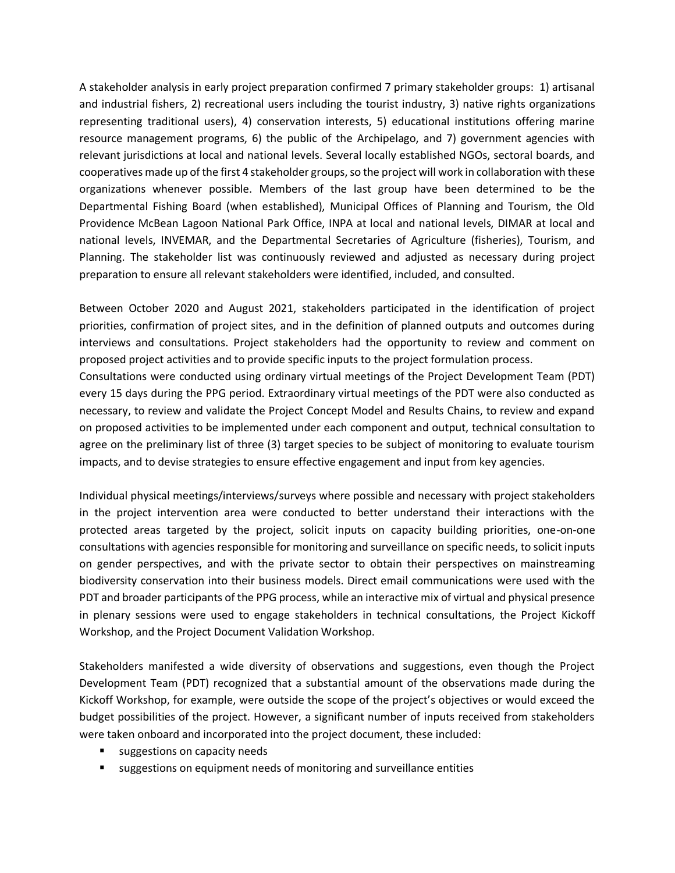A stakeholder analysis in early project preparation confirmed 7 primary stakeholder groups: 1) artisanal and industrial fishers, 2) recreational users including the tourist industry, 3) native rights organizations representing traditional users), 4) conservation interests, 5) educational institutions offering marine resource management programs, 6) the public of the Archipelago, and 7) government agencies with relevant jurisdictions at local and national levels. Several locally established NGOs, sectoral boards, and cooperatives made up of the first 4 stakeholder groups, so the project will work in collaboration with these organizations whenever possible. Members of the last group have been determined to be the Departmental Fishing Board (when established), Municipal Offices of Planning and Tourism, the Old Providence McBean Lagoon National Park Office, INPA at local and national levels, DIMAR at local and national levels, INVEMAR, and the Departmental Secretaries of Agriculture (fisheries), Tourism, and Planning. The stakeholder list was continuously reviewed and adjusted as necessary during project preparation to ensure all relevant stakeholders were identified, included, and consulted.

Between October 2020 and August 2021, stakeholders participated in the identification of project priorities, confirmation of project sites, and in the definition of planned outputs and outcomes during interviews and consultations. Project stakeholders had the opportunity to review and comment on proposed project activities and to provide specific inputs to the project formulation process.

Consultations were conducted using ordinary virtual meetings of the Project Development Team (PDT) every 15 days during the PPG period. Extraordinary virtual meetings of the PDT were also conducted as necessary, to review and validate the Project Concept Model and Results Chains, to review and expand on proposed activities to be implemented under each component and output, technical consultation to agree on the preliminary list of three (3) target species to be subject of monitoring to evaluate tourism impacts, and to devise strategies to ensure effective engagement and input from key agencies.

Individual physical meetings/interviews/surveys where possible and necessary with project stakeholders in the project intervention area were conducted to better understand their interactions with the protected areas targeted by the project, solicit inputs on capacity building priorities, one-on-one consultations with agencies responsible for monitoring and surveillance on specific needs, to solicit inputs on gender perspectives, and with the private sector to obtain their perspectives on mainstreaming biodiversity conservation into their business models. Direct email communications were used with the PDT and broader participants of the PPG process, while an interactive mix of virtual and physical presence in plenary sessions were used to engage stakeholders in technical consultations, the Project Kickoff Workshop, and the Project Document Validation Workshop.

Stakeholders manifested a wide diversity of observations and suggestions, even though the Project Development Team (PDT) recognized that a substantial amount of the observations made during the Kickoff Workshop, for example, were outside the scope of the project's objectives or would exceed the budget possibilities of the project. However, a significant number of inputs received from stakeholders were taken onboard and incorporated into the project document, these included:

- suggestions on capacity needs
- suggestions on equipment needs of monitoring and surveillance entities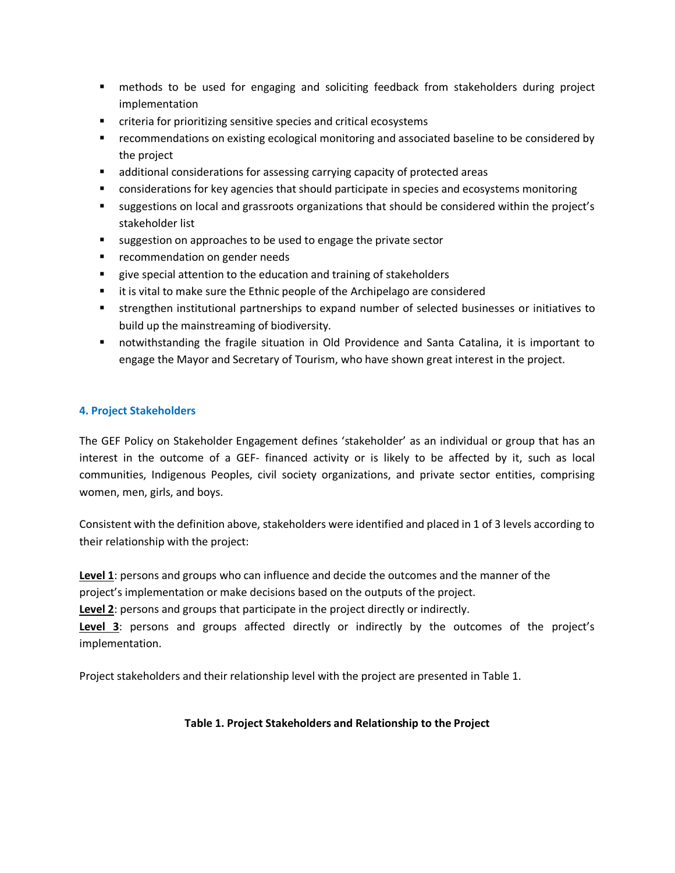- methods to be used for engaging and soliciting feedback from stakeholders during project implementation
- criteria for prioritizing sensitive species and critical ecosystems
- **EXECOMMENT EXECOMMENT ASSET FOR EXECOVAT ASSET ASSET FOR ASSET I** recommendations on existing ecological monitoring and associated by **FIGO** the project
- additional considerations for assessing carrying capacity of protected areas
- considerations for key agencies that should participate in species and ecosystems monitoring
- suggestions on local and grassroots organizations that should be considered within the project's stakeholder list
- suggestion on approaches to be used to engage the private sector
- recommendation on gender needs
- give special attention to the education and training of stakeholders
- it is vital to make sure the Ethnic people of the Archipelago are considered
- **EX is integent institutional partnerships to expand number of selected businesses or initiatives to** build up the mainstreaming of biodiversity.
- notwithstanding the fragile situation in Old Providence and Santa Catalina, it is important to engage the Mayor and Secretary of Tourism, who have shown great interest in the project.

## **4. Project Stakeholders**

The GEF Policy on Stakeholder Engagement defines 'stakeholder' as an individual or group that has an interest in the outcome of a GEF- financed activity or is likely to be affected by it, such as local communities, Indigenous Peoples, civil society organizations, and private sector entities, comprising women, men, girls, and boys.

Consistent with the definition above, stakeholders were identified and placed in 1 of 3 levels according to their relationship with the project:

**Level 1**: persons and groups who can influence and decide the outcomes and the manner of the project's implementation or make decisions based on the outputs of the project.

**Level 2**: persons and groups that participate in the project directly or indirectly.

**Level 3**: persons and groups affected directly or indirectly by the outcomes of the project's implementation.

Project stakeholders and their relationship level with the project are presented in Table 1.

# **Table 1. Project Stakeholders and Relationship to the Project**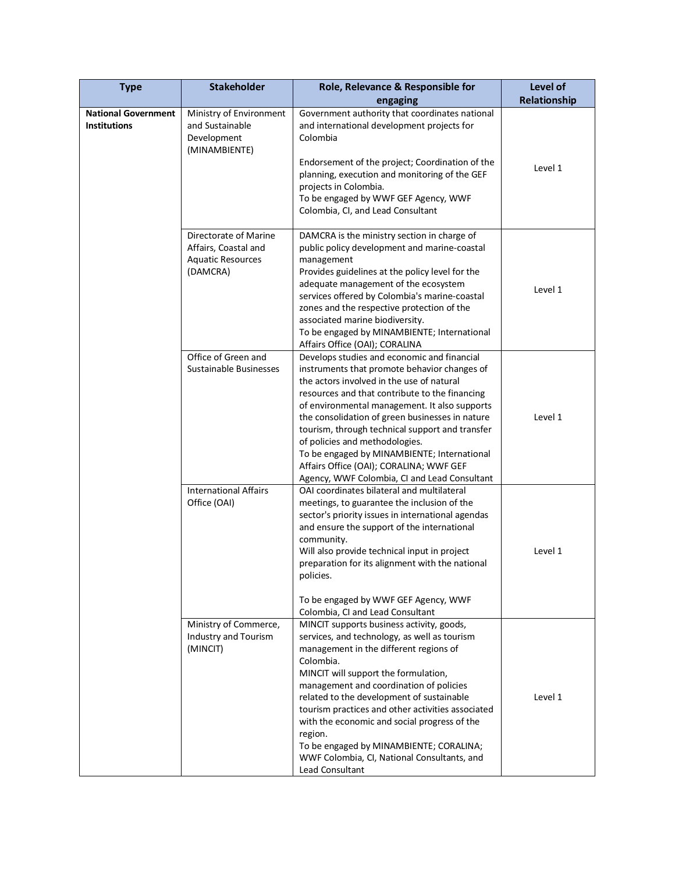| <b>Type</b>                                       | <b>Stakeholder</b>                                                                    | Role, Relevance & Responsible for                                                                                                                                                                                                                                                                                                                                                                                                                                                                                                                 | Level of     |
|---------------------------------------------------|---------------------------------------------------------------------------------------|---------------------------------------------------------------------------------------------------------------------------------------------------------------------------------------------------------------------------------------------------------------------------------------------------------------------------------------------------------------------------------------------------------------------------------------------------------------------------------------------------------------------------------------------------|--------------|
|                                                   |                                                                                       | engaging                                                                                                                                                                                                                                                                                                                                                                                                                                                                                                                                          | Relationship |
| <b>National Government</b><br><b>Institutions</b> | Ministry of Environment<br>and Sustainable<br>Development<br>(MINAMBIENTE)            | Government authority that coordinates national<br>and international development projects for<br>Colombia<br>Endorsement of the project; Coordination of the                                                                                                                                                                                                                                                                                                                                                                                       |              |
|                                                   |                                                                                       | planning, execution and monitoring of the GEF<br>projects in Colombia.<br>To be engaged by WWF GEF Agency, WWF<br>Colombia, CI, and Lead Consultant                                                                                                                                                                                                                                                                                                                                                                                               | Level 1      |
|                                                   | Directorate of Marine<br>Affairs, Coastal and<br><b>Aquatic Resources</b><br>(DAMCRA) | DAMCRA is the ministry section in charge of<br>public policy development and marine-coastal<br>management<br>Provides guidelines at the policy level for the<br>adequate management of the ecosystem<br>services offered by Colombia's marine-coastal<br>zones and the respective protection of the<br>associated marine biodiversity.<br>To be engaged by MINAMBIENTE; International<br>Affairs Office (OAI); CORALINA                                                                                                                           | Level 1      |
|                                                   | Office of Green and<br><b>Sustainable Businesses</b>                                  | Develops studies and economic and financial<br>instruments that promote behavior changes of<br>the actors involved in the use of natural<br>resources and that contribute to the financing<br>of environmental management. It also supports<br>the consolidation of green businesses in nature<br>tourism, through technical support and transfer<br>of policies and methodologies.<br>To be engaged by MINAMBIENTE; International<br>Affairs Office (OAI); CORALINA; WWF GEF<br>Agency, WWF Colombia, CI and Lead Consultant                     | Level 1      |
|                                                   | <b>International Affairs</b><br>Office (OAI)                                          | OAI coordinates bilateral and multilateral<br>meetings, to guarantee the inclusion of the<br>sector's priority issues in international agendas<br>and ensure the support of the international<br>community.<br>Will also provide technical input in project<br>preparation for its alignment with the national<br>policies.<br>To be engaged by WWF GEF Agency, WWF                                                                                                                                                                               | Level 1      |
|                                                   | Ministry of Commerce,<br>Industry and Tourism<br>(MINCIT)                             | Colombia, CI and Lead Consultant<br>MINCIT supports business activity, goods,<br>services, and technology, as well as tourism<br>management in the different regions of<br>Colombia.<br>MINCIT will support the formulation,<br>management and coordination of policies<br>related to the development of sustainable<br>tourism practices and other activities associated<br>with the economic and social progress of the<br>region.<br>To be engaged by MINAMBIENTE; CORALINA;<br>WWF Colombia, CI, National Consultants, and<br>Lead Consultant | Level 1      |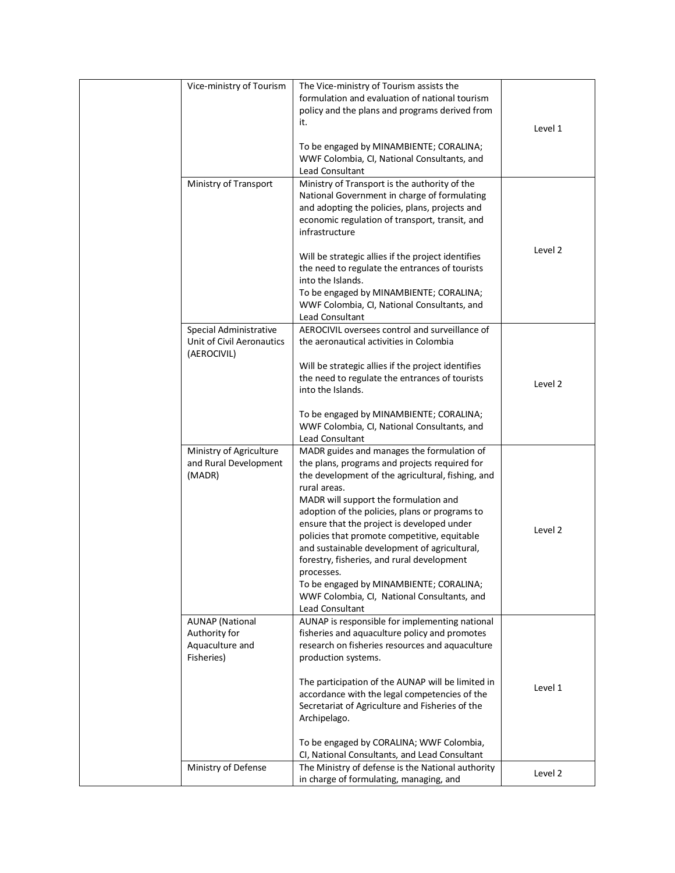| Vice-ministry of Tourism                                                 | The Vice-ministry of Tourism assists the<br>formulation and evaluation of national tourism<br>policy and the plans and programs derived from<br>it.                                                                                                                                                                                                                                                                                                                                                                                                                                | Level 1 |
|--------------------------------------------------------------------------|------------------------------------------------------------------------------------------------------------------------------------------------------------------------------------------------------------------------------------------------------------------------------------------------------------------------------------------------------------------------------------------------------------------------------------------------------------------------------------------------------------------------------------------------------------------------------------|---------|
|                                                                          | To be engaged by MINAMBIENTE; CORALINA;<br>WWF Colombia, CI, National Consultants, and<br>Lead Consultant                                                                                                                                                                                                                                                                                                                                                                                                                                                                          |         |
| Ministry of Transport                                                    | Ministry of Transport is the authority of the<br>National Government in charge of formulating<br>and adopting the policies, plans, projects and<br>economic regulation of transport, transit, and<br>infrastructure                                                                                                                                                                                                                                                                                                                                                                |         |
|                                                                          | Will be strategic allies if the project identifies<br>the need to regulate the entrances of tourists<br>into the Islands.<br>To be engaged by MINAMBIENTE; CORALINA;<br>WWF Colombia, CI, National Consultants, and<br>Lead Consultant                                                                                                                                                                                                                                                                                                                                             | Level 2 |
| Special Administrative<br>Unit of Civil Aeronautics<br>(AEROCIVIL)       | AEROCIVIL oversees control and surveillance of<br>the aeronautical activities in Colombia<br>Will be strategic allies if the project identifies<br>the need to regulate the entrances of tourists<br>into the Islands.                                                                                                                                                                                                                                                                                                                                                             | Level 2 |
|                                                                          | To be engaged by MINAMBIENTE; CORALINA;<br>WWF Colombia, CI, National Consultants, and<br>Lead Consultant                                                                                                                                                                                                                                                                                                                                                                                                                                                                          |         |
| Ministry of Agriculture<br>and Rural Development<br>(MADR)               | MADR guides and manages the formulation of<br>the plans, programs and projects required for<br>the development of the agricultural, fishing, and<br>rural areas.<br>MADR will support the formulation and<br>adoption of the policies, plans or programs to<br>ensure that the project is developed under<br>policies that promote competitive, equitable<br>and sustainable development of agricultural,<br>forestry, fisheries, and rural development<br>processes.<br>To be engaged by MINAMBIENTE; CORALINA;<br>WWF Colombia, CI, National Consultants, and<br>Lead Consultant | Level 2 |
| <b>AUNAP</b> (National<br>Authority for<br>Aquaculture and<br>Fisheries) | AUNAP is responsible for implementing national<br>fisheries and aquaculture policy and promotes<br>research on fisheries resources and aquaculture<br>production systems.<br>The participation of the AUNAP will be limited in<br>accordance with the legal competencies of the<br>Secretariat of Agriculture and Fisheries of the<br>Archipelago.<br>To be engaged by CORALINA; WWF Colombia,<br>CI, National Consultants, and Lead Consultant                                                                                                                                    | Level 1 |
| Ministry of Defense                                                      | The Ministry of defense is the National authority<br>in charge of formulating, managing, and                                                                                                                                                                                                                                                                                                                                                                                                                                                                                       | Level 2 |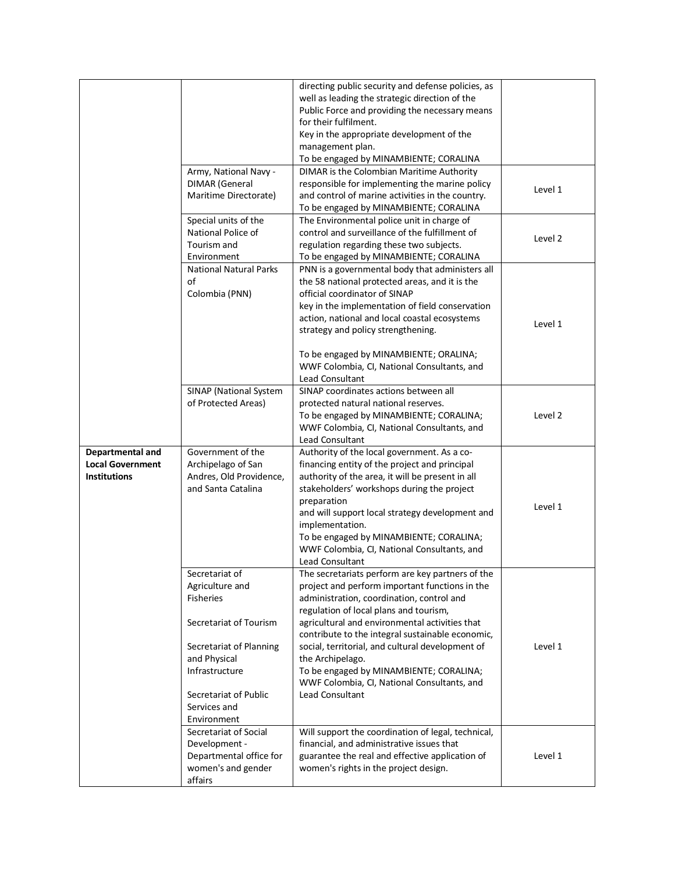|                                                                    | Army, National Navy -<br><b>DIMAR</b> (General<br>Maritime Directorate)<br>Special units of the<br>National Police of                                                                                | directing public security and defense policies, as<br>well as leading the strategic direction of the<br>Public Force and providing the necessary means<br>for their fulfilment.<br>Key in the appropriate development of the<br>management plan.<br>To be engaged by MINAMBIENTE; CORALINA<br>DIMAR is the Colombian Maritime Authority<br>responsible for implementing the marine policy<br>and control of marine activities in the country.<br>To be engaged by MINAMBIENTE; CORALINA<br>The Environmental police unit in charge of<br>control and surveillance of the fulfillment of | Level 1 |
|--------------------------------------------------------------------|------------------------------------------------------------------------------------------------------------------------------------------------------------------------------------------------------|-----------------------------------------------------------------------------------------------------------------------------------------------------------------------------------------------------------------------------------------------------------------------------------------------------------------------------------------------------------------------------------------------------------------------------------------------------------------------------------------------------------------------------------------------------------------------------------------|---------|
|                                                                    | Tourism and<br>Environment                                                                                                                                                                           | regulation regarding these two subjects.<br>To be engaged by MINAMBIENTE; CORALINA                                                                                                                                                                                                                                                                                                                                                                                                                                                                                                      | Level 2 |
|                                                                    | <b>National Natural Parks</b><br>of<br>Colombia (PNN)                                                                                                                                                | PNN is a governmental body that administers all<br>the 58 national protected areas, and it is the<br>official coordinator of SINAP<br>key in the implementation of field conservation<br>action, national and local coastal ecosystems<br>strategy and policy strengthening.<br>To be engaged by MINAMBIENTE; ORALINA;<br>WWF Colombia, CI, National Consultants, and<br>Lead Consultant                                                                                                                                                                                                | Level 1 |
|                                                                    | SINAP (National System<br>of Protected Areas)                                                                                                                                                        | SINAP coordinates actions between all<br>protected natural national reserves.<br>To be engaged by MINAMBIENTE; CORALINA;<br>WWF Colombia, CI, National Consultants, and<br>Lead Consultant                                                                                                                                                                                                                                                                                                                                                                                              | Level 2 |
| Departmental and<br><b>Local Government</b><br><b>Institutions</b> | Government of the<br>Archipelago of San<br>Andres, Old Providence,<br>and Santa Catalina                                                                                                             | Authority of the local government. As a co-<br>financing entity of the project and principal<br>authority of the area, it will be present in all<br>stakeholders' workshops during the project<br>preparation<br>and will support local strategy development and<br>implementation.<br>To be engaged by MINAMBIENTE; CORALINA;<br>WWF Colombia, CI, National Consultants, and<br>Lead Consultant                                                                                                                                                                                        | Level 1 |
|                                                                    | Secretariat of<br>Agriculture and<br><b>Fisheries</b><br>Secretariat of Tourism<br>Secretariat of Planning<br>and Physical<br>Infrastructure<br>Secretariat of Public<br>Services and<br>Environment | The secretariats perform are key partners of the<br>project and perform important functions in the<br>administration, coordination, control and<br>regulation of local plans and tourism,<br>agricultural and environmental activities that<br>contribute to the integral sustainable economic,<br>social, territorial, and cultural development of<br>the Archipelago.<br>To be engaged by MINAMBIENTE; CORALINA;<br>WWF Colombia, CI, National Consultants, and<br><b>Lead Consultant</b>                                                                                             | Level 1 |
|                                                                    | Secretariat of Social<br>Development -<br>Departmental office for<br>women's and gender<br>affairs                                                                                                   | Will support the coordination of legal, technical,<br>financial, and administrative issues that<br>guarantee the real and effective application of<br>women's rights in the project design.                                                                                                                                                                                                                                                                                                                                                                                             | Level 1 |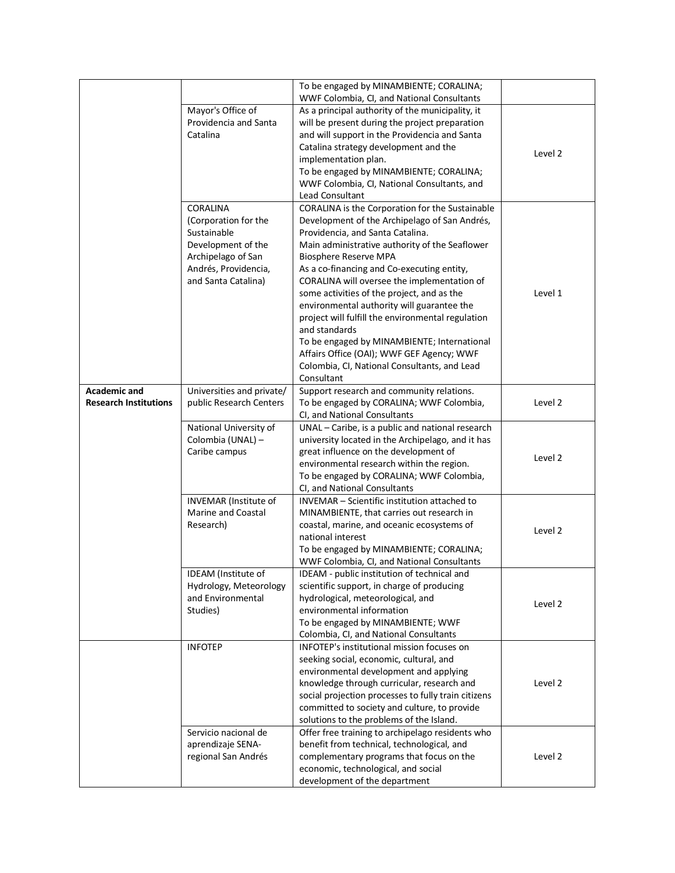|                              |                                     | To be engaged by MINAMBIENTE; CORALINA;             |         |
|------------------------------|-------------------------------------|-----------------------------------------------------|---------|
|                              |                                     | WWF Colombia, CI, and National Consultants          |         |
|                              | Mayor's Office of                   | As a principal authority of the municipality, it    |         |
|                              | Providencia and Santa               | will be present during the project preparation      |         |
|                              | Catalina                            | and will support in the Providencia and Santa       |         |
|                              |                                     | Catalina strategy development and the               |         |
|                              |                                     | implementation plan.                                | Level 2 |
|                              |                                     | To be engaged by MINAMBIENTE; CORALINA;             |         |
|                              |                                     | WWF Colombia, CI, National Consultants, and         |         |
|                              |                                     | <b>Lead Consultant</b>                              |         |
|                              | CORALINA                            | CORALINA is the Corporation for the Sustainable     |         |
|                              |                                     | Development of the Archipelago of San Andrés,       |         |
|                              | (Corporation for the<br>Sustainable |                                                     |         |
|                              |                                     | Providencia, and Santa Catalina.                    |         |
|                              | Development of the                  | Main administrative authority of the Seaflower      |         |
|                              | Archipelago of San                  | <b>Biosphere Reserve MPA</b>                        |         |
|                              | Andrés, Providencia,                | As a co-financing and Co-executing entity,          |         |
|                              | and Santa Catalina)                 | CORALINA will oversee the implementation of         |         |
|                              |                                     | some activities of the project, and as the          | Level 1 |
|                              |                                     | environmental authority will guarantee the          |         |
|                              |                                     | project will fulfill the environmental regulation   |         |
|                              |                                     | and standards                                       |         |
|                              |                                     | To be engaged by MINAMBIENTE; International         |         |
|                              |                                     | Affairs Office (OAI); WWF GEF Agency; WWF           |         |
|                              |                                     | Colombia, CI, National Consultants, and Lead        |         |
|                              |                                     | Consultant                                          |         |
| <b>Academic and</b>          | Universities and private/           | Support research and community relations.           |         |
| <b>Research Institutions</b> | public Research Centers             | To be engaged by CORALINA; WWF Colombia,            | Level 2 |
|                              |                                     | CI, and National Consultants                        |         |
|                              | National University of              | UNAL - Caribe, is a public and national research    |         |
|                              | Colombia (UNAL) -                   | university located in the Archipelago, and it has   |         |
|                              | Caribe campus                       | great influence on the development of               |         |
|                              |                                     | environmental research within the region.           | Level 2 |
|                              |                                     | To be engaged by CORALINA; WWF Colombia,            |         |
|                              |                                     | CI, and National Consultants                        |         |
|                              | INVEMAR (Institute of               | INVEMAR - Scientific institution attached to        |         |
|                              | Marine and Coastal                  | MINAMBIENTE, that carries out research in           |         |
|                              | Research)                           | coastal, marine, and oceanic ecosystems of          |         |
|                              |                                     | national interest                                   | Level 2 |
|                              |                                     | To be engaged by MINAMBIENTE; CORALINA;             |         |
|                              |                                     | WWF Colombia, CI, and National Consultants          |         |
|                              | IDEAM (Institute of                 | IDEAM - public institution of technical and         |         |
|                              | Hydrology, Meteorology              | scientific support, in charge of producing          |         |
|                              | and Environmental                   | hydrological, meteorological, and                   |         |
|                              | Studies)                            | environmental information                           | Level 2 |
|                              |                                     | To be engaged by MINAMBIENTE; WWF                   |         |
|                              |                                     | Colombia, CI, and National Consultants              |         |
|                              | <b>INFOTEP</b>                      | INFOTEP's institutional mission focuses on          |         |
|                              |                                     | seeking social, economic, cultural, and             |         |
|                              |                                     |                                                     |         |
|                              |                                     | environmental development and applying              | Level 2 |
|                              |                                     | knowledge through curricular, research and          |         |
|                              |                                     | social projection processes to fully train citizens |         |
|                              |                                     | committed to society and culture, to provide        |         |
|                              |                                     | solutions to the problems of the Island.            |         |
|                              | Servicio nacional de                | Offer free training to archipelago residents who    |         |
|                              | aprendizaje SENA-                   | benefit from technical, technological, and          |         |
|                              | regional San Andrés                 | complementary programs that focus on the            | Level 2 |
|                              |                                     | economic, technological, and social                 |         |
|                              |                                     | development of the department                       |         |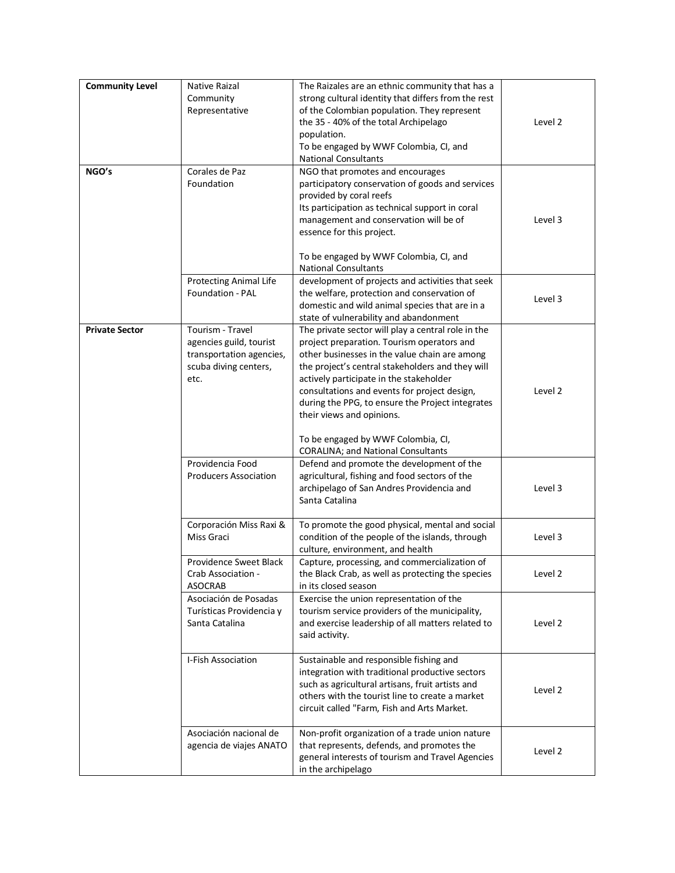| <b>Community Level</b><br>NGO's | Native Raizal<br>Community<br>Representative<br>Corales de Paz<br>Foundation                             | The Raizales are an ethnic community that has a<br>strong cultural identity that differs from the rest<br>of the Colombian population. They represent<br>the 35 - 40% of the total Archipelago<br>population.<br>To be engaged by WWF Colombia, CI, and<br><b>National Consultants</b><br>NGO that promotes and encourages<br>participatory conservation of goods and services<br>provided by coral reefs<br>Its participation as technical support in coral<br>management and conservation will be of<br>essence for this project.<br>To be engaged by WWF Colombia, CI, and | Level 2<br>Level 3 |
|---------------------------------|----------------------------------------------------------------------------------------------------------|-------------------------------------------------------------------------------------------------------------------------------------------------------------------------------------------------------------------------------------------------------------------------------------------------------------------------------------------------------------------------------------------------------------------------------------------------------------------------------------------------------------------------------------------------------------------------------|--------------------|
|                                 | <b>Protecting Animal Life</b><br><b>Foundation - PAL</b>                                                 | <b>National Consultants</b><br>development of projects and activities that seek<br>the welfare, protection and conservation of<br>domestic and wild animal species that are in a<br>state of vulnerability and abandonment                                                                                                                                                                                                                                                                                                                                                    | Level 3            |
| <b>Private Sector</b>           | Tourism - Travel<br>agencies guild, tourist<br>transportation agencies,<br>scuba diving centers,<br>etc. | The private sector will play a central role in the<br>project preparation. Tourism operators and<br>other businesses in the value chain are among<br>the project's central stakeholders and they will<br>actively participate in the stakeholder<br>consultations and events for project design,<br>during the PPG, to ensure the Project integrates<br>their views and opinions.<br>To be engaged by WWF Colombia, CI,<br><b>CORALINA; and National Consultants</b>                                                                                                          | Level 2            |
|                                 | Providencia Food<br><b>Producers Association</b>                                                         | Defend and promote the development of the<br>agricultural, fishing and food sectors of the<br>archipelago of San Andres Providencia and<br>Santa Catalina                                                                                                                                                                                                                                                                                                                                                                                                                     | Level 3            |
|                                 | Corporación Miss Raxi &<br>Miss Graci                                                                    | To promote the good physical, mental and social<br>condition of the people of the islands, through<br>culture, environment, and health                                                                                                                                                                                                                                                                                                                                                                                                                                        | Level 3            |
|                                 | Providence Sweet Black<br>Crab Association -<br><b>ASOCRAB</b>                                           | Capture, processing, and commercialization of<br>the Black Crab, as well as protecting the species<br>in its closed season                                                                                                                                                                                                                                                                                                                                                                                                                                                    | Level 2            |
|                                 | Asociación de Posadas<br>Turísticas Providencia y<br>Santa Catalina                                      | Exercise the union representation of the<br>tourism service providers of the municipality,<br>and exercise leadership of all matters related to<br>said activity.                                                                                                                                                                                                                                                                                                                                                                                                             | Level 2            |
|                                 | I-Fish Association                                                                                       | Sustainable and responsible fishing and<br>integration with traditional productive sectors<br>such as agricultural artisans, fruit artists and<br>others with the tourist line to create a market<br>circuit called "Farm, Fish and Arts Market.                                                                                                                                                                                                                                                                                                                              | Level 2            |
|                                 | Asociación nacional de<br>agencia de viajes ANATO                                                        | Non-profit organization of a trade union nature<br>that represents, defends, and promotes the<br>general interests of tourism and Travel Agencies<br>in the archipelago                                                                                                                                                                                                                                                                                                                                                                                                       | Level 2            |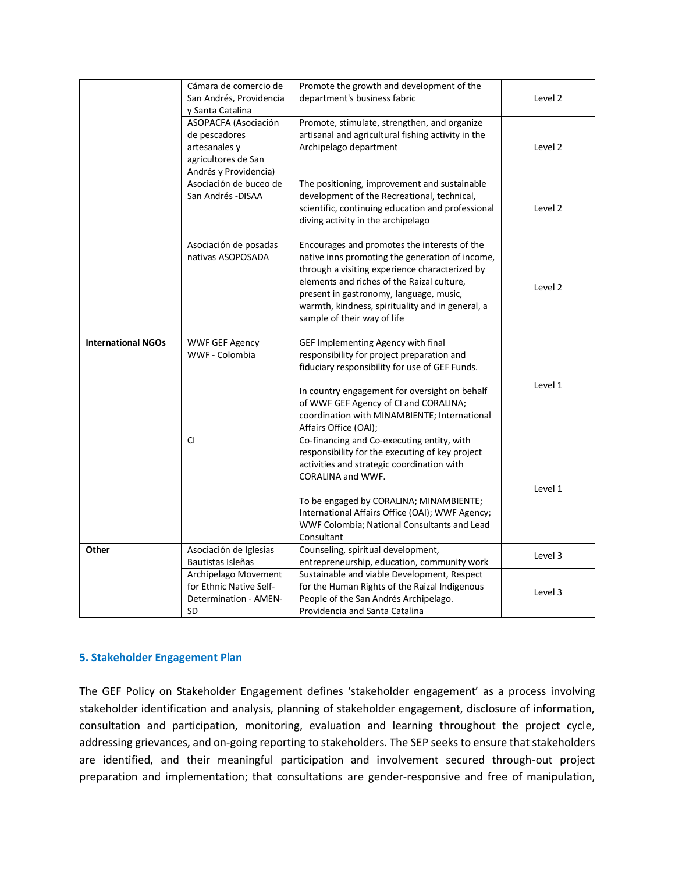|                           | Cámara de comercio de<br>San Andrés, Providencia                                                       | Promote the growth and development of the<br>department's business fabric                                                                                                                                                                                                                                                          | Level 2 |
|---------------------------|--------------------------------------------------------------------------------------------------------|------------------------------------------------------------------------------------------------------------------------------------------------------------------------------------------------------------------------------------------------------------------------------------------------------------------------------------|---------|
|                           | y Santa Catalina                                                                                       |                                                                                                                                                                                                                                                                                                                                    |         |
|                           | ASOPACFA (Asociación<br>de pescadores<br>artesanales y<br>agricultores de San<br>Andrés y Providencia) | Promote, stimulate, strengthen, and organize<br>artisanal and agricultural fishing activity in the<br>Archipelago department                                                                                                                                                                                                       | Level 2 |
|                           | Asociación de buceo de<br>San Andrés - DISAA                                                           | The positioning, improvement and sustainable<br>development of the Recreational, technical,<br>scientific, continuing education and professional<br>diving activity in the archipelago                                                                                                                                             | Level 2 |
|                           | Asociación de posadas<br>nativas ASOPOSADA                                                             | Encourages and promotes the interests of the<br>native inns promoting the generation of income,<br>through a visiting experience characterized by<br>elements and riches of the Raizal culture,<br>present in gastronomy, language, music,<br>warmth, kindness, spirituality and in general, a<br>sample of their way of life      | Level 2 |
| <b>International NGOs</b> | <b>WWF GEF Agency</b><br>WWF - Colombia                                                                | GEF Implementing Agency with final<br>responsibility for project preparation and<br>fiduciary responsibility for use of GEF Funds.<br>In country engagement for oversight on behalf<br>of WWF GEF Agency of CI and CORALINA;<br>coordination with MINAMBIENTE; International<br>Affairs Office (OAI);                              | Level 1 |
|                           | <b>CI</b>                                                                                              | Co-financing and Co-executing entity, with<br>responsibility for the executing of key project<br>activities and strategic coordination with<br><b>CORALINA and WWF.</b><br>To be engaged by CORALINA; MINAMBIENTE;<br>International Affairs Office (OAI); WWF Agency;<br>WWF Colombia; National Consultants and Lead<br>Consultant | Level 1 |
| Other                     | Asociación de Iglesias<br>Bautistas Isleñas                                                            | Counseling, spiritual development,<br>entrepreneurship, education, community work                                                                                                                                                                                                                                                  | Level 3 |
|                           | Archipelago Movement                                                                                   | Sustainable and viable Development, Respect                                                                                                                                                                                                                                                                                        |         |
|                           | for Ethnic Native Self-<br><b>Determination - AMEN-</b><br>SD                                          | for the Human Rights of the Raizal Indigenous<br>People of the San Andrés Archipelago.<br>Providencia and Santa Catalina                                                                                                                                                                                                           | Level 3 |

#### **5. Stakeholder Engagement Plan**

The GEF Policy on Stakeholder Engagement defines 'stakeholder engagement' as a process involving stakeholder identification and analysis, planning of stakeholder engagement, disclosure of information, consultation and participation, monitoring, evaluation and learning throughout the project cycle, addressing grievances, and on-going reporting to stakeholders. The SEP seeks to ensure that stakeholders are identified, and their meaningful participation and involvement secured through-out project preparation and implementation; that consultations are gender-responsive and free of manipulation,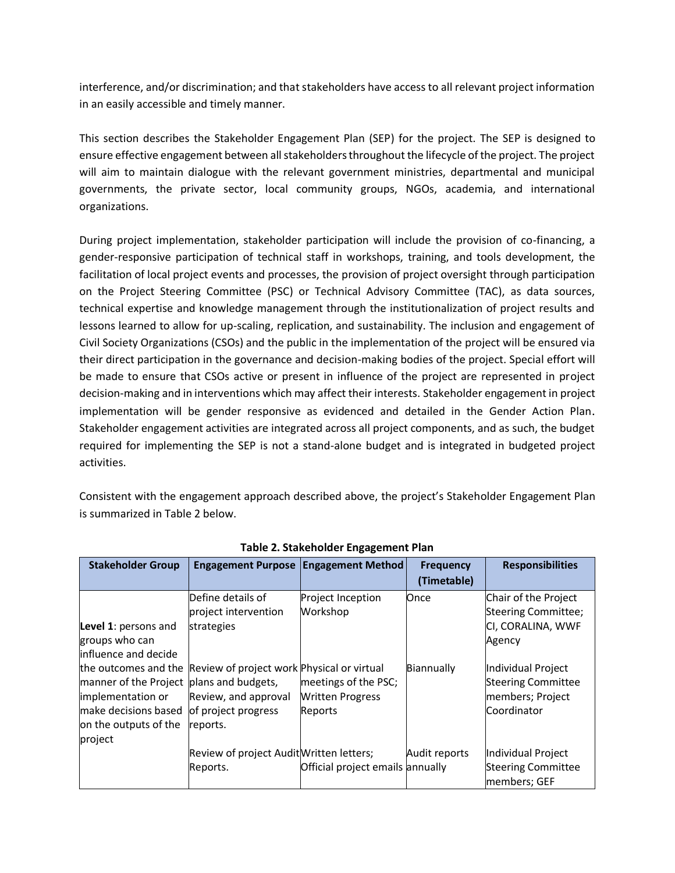interference, and/or discrimination; and that stakeholders have access to all relevant project information in an easily accessible and timely manner.

This section describes the Stakeholder Engagement Plan (SEP) for the project. The SEP is designed to ensure effective engagement between all stakeholders throughout the lifecycle of the project. The project will aim to maintain dialogue with the relevant government ministries, departmental and municipal governments, the private sector, local community groups, NGOs, academia, and international organizations.

During project implementation, stakeholder participation will include the provision of co-financing, a gender-responsive participation of technical staff in workshops, training, and tools development, the facilitation of local project events and processes, the provision of project oversight through participation on the Project Steering Committee (PSC) or Technical Advisory Committee (TAC), as data sources, technical expertise and knowledge management through the institutionalization of project results and lessons learned to allow for up-scaling, replication, and sustainability. The inclusion and engagement of Civil Society Organizations (CSOs) and the public in the implementation of the project will be ensured via their direct participation in the governance and decision-making bodies of the project. Special effort will be made to ensure that CSOs active or present in influence of the project are represented in project decision-making and in interventions which may affect their interests. Stakeholder engagement in project implementation will be gender responsive as evidenced and detailed in the Gender Action Plan. Stakeholder engagement activities are integrated across all project components, and as such, the budget required for implementing the SEP is not a stand-alone budget and is integrated in budgeted project activities.

Consistent with the engagement approach described above, the project's Stakeholder Engagement Plan is summarized in Table 2 below.

| <b>Stakeholder Group</b>                                                                                                  | <b>Engagement Purpose Engagement Method</b>                                                                                |                                                            | <b>Frequency</b><br>(Timetable) | <b>Responsibilities</b>                                                            |
|---------------------------------------------------------------------------------------------------------------------------|----------------------------------------------------------------------------------------------------------------------------|------------------------------------------------------------|---------------------------------|------------------------------------------------------------------------------------|
| Level 1: persons and<br>groups who can<br>influence and decide                                                            | Define details of<br>project intervention<br>strategies                                                                    | Project Inception<br>Workshop                              | Once                            | Chair of the Project<br>Steering Committee;<br>CI, CORALINA, WWF<br>Agency         |
| manner of the Project plans and budgets,<br>implementation or<br>make decisions based<br>on the outputs of the<br>project | the outcomes and the Review of project work Physical or virtual<br>Review, and approval<br>of project progress<br>reports. | meetings of the PSC;<br><b>Written Progress</b><br>Reports | Biannually                      | Individual Project<br><b>Steering Committee</b><br>members; Project<br>Coordinator |
|                                                                                                                           | Review of project Audit Written letters;<br>Reports.                                                                       | Official project emails annually                           | Audit reports                   | Individual Project<br><b>Steering Committee</b><br>members; GEF                    |

**Table 2. Stakeholder Engagement Plan**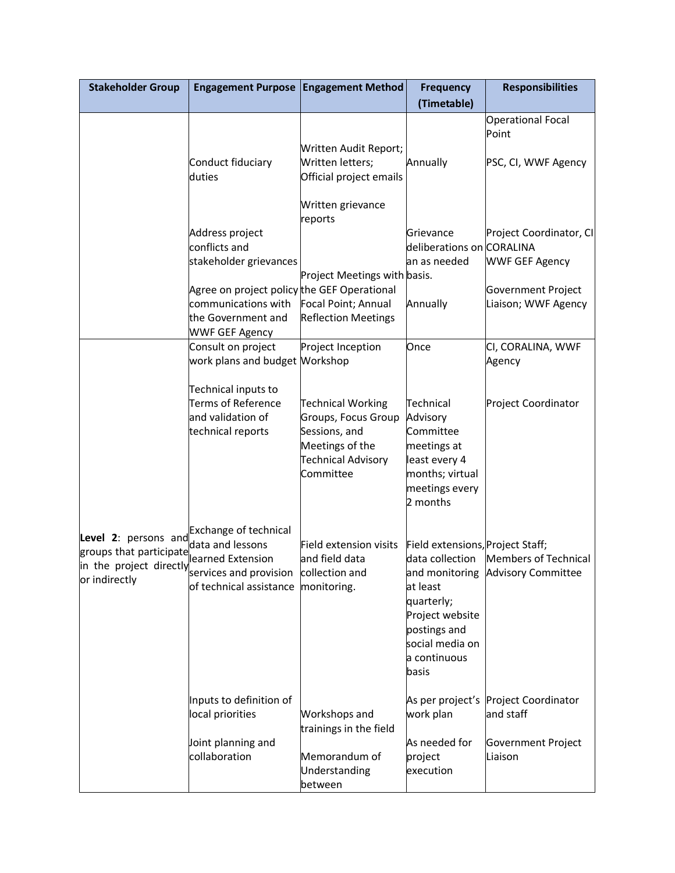| <b>Stakeholder Group</b>                                                                     | Engagement Purpose   Engagement Method                                                                                |                                                                                                                               | <b>Frequency</b>                                                                                                                                             | <b>Responsibilities</b>                                   |
|----------------------------------------------------------------------------------------------|-----------------------------------------------------------------------------------------------------------------------|-------------------------------------------------------------------------------------------------------------------------------|--------------------------------------------------------------------------------------------------------------------------------------------------------------|-----------------------------------------------------------|
|                                                                                              |                                                                                                                       |                                                                                                                               | (Timetable)                                                                                                                                                  |                                                           |
|                                                                                              |                                                                                                                       |                                                                                                                               |                                                                                                                                                              | <b>Operational Focal</b><br>Point                         |
|                                                                                              | Conduct fiduciary<br>duties                                                                                           | Written Audit Report;<br>Written letters;<br>Official project emails                                                          | Annually                                                                                                                                                     | PSC, CI, WWF Agency                                       |
|                                                                                              |                                                                                                                       | Written grievance<br>reports                                                                                                  |                                                                                                                                                              |                                                           |
|                                                                                              | Address project<br>conflicts and<br>stakeholder grievances                                                            |                                                                                                                               | Grievance<br>deliberations on CORALINA<br>an as needed                                                                                                       | Project Coordinator, CI<br><b>WWF GEF Agency</b>          |
|                                                                                              | Agree on project policy the GEF Operational                                                                           | Project Meetings with basis.                                                                                                  |                                                                                                                                                              | Government Project                                        |
|                                                                                              | communications with<br>the Government and<br><b>WWF GEF Agency</b>                                                    | Focal Point; Annual<br><b>Reflection Meetings</b>                                                                             | Annually                                                                                                                                                     | Liaison; WWF Agency                                       |
|                                                                                              | Consult on project<br>work plans and budget Workshop                                                                  | Project Inception                                                                                                             | Once                                                                                                                                                         | CI, CORALINA, WWF<br>Agency                               |
|                                                                                              | Technical inputs to<br><b>Terms of Reference</b><br>and validation of<br>technical reports                            | <b>Technical Working</b><br>Groups, Focus Group<br>Sessions, and<br>Meetings of the<br><b>Technical Advisory</b><br>Committee | Technical<br>Advisory<br>Committee<br>meetings at<br>least every 4<br>months; virtual<br>meetings every<br>2 months                                          | Project Coordinator                                       |
| Exchange of technical<br>groups that participate<br>in the project directly<br>or indirectly | data and lessons<br>learned Extension<br>services and provision collection and<br>of technical assistance monitoring. | Field extension visits<br>and field data                                                                                      | Field extensions, Project Staff;<br>data collection<br>at least<br>quarterly;<br>Project website<br>postings and<br>social media on<br>a continuous<br>basis | Members of Technical<br>and monitoring Advisory Committee |
|                                                                                              | Inputs to definition of<br>local priorities                                                                           | Workshops and<br>trainings in the field                                                                                       | As per project's<br>work plan                                                                                                                                | Project Coordinator<br>and staff                          |
|                                                                                              | Joint planning and<br>collaboration                                                                                   | Memorandum of<br>Understanding<br>between                                                                                     | As needed for<br>project<br>execution                                                                                                                        | Government Project<br>Liaison                             |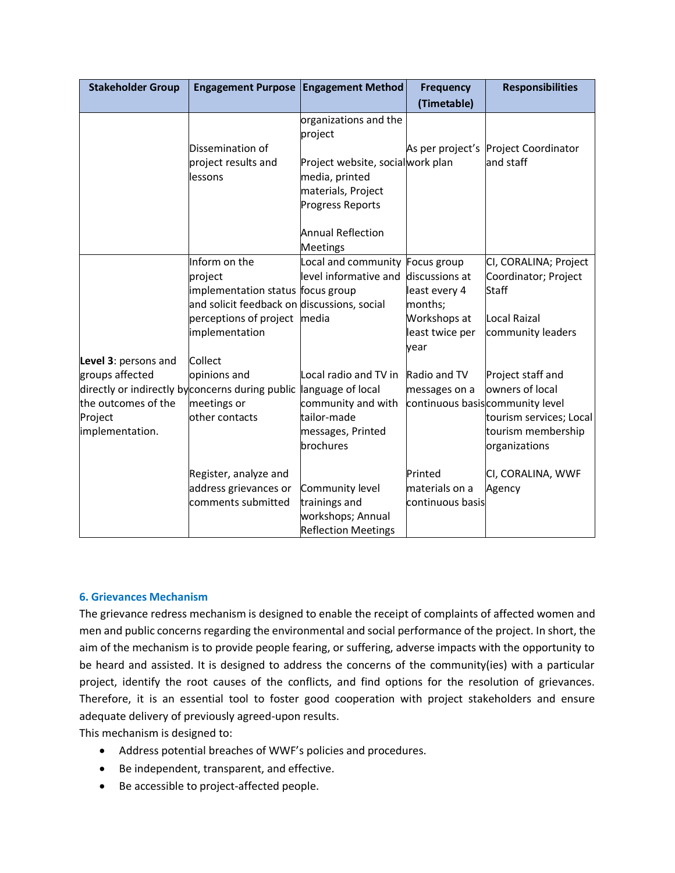| <b>Stakeholder Group</b>                                                                     | Engagement Purpose   Engagement Method                                                                                                                   |                                                                                                                                  | <b>Frequency</b>                                                                      | <b>Responsibilities</b>                                                                                                                    |
|----------------------------------------------------------------------------------------------|----------------------------------------------------------------------------------------------------------------------------------------------------------|----------------------------------------------------------------------------------------------------------------------------------|---------------------------------------------------------------------------------------|--------------------------------------------------------------------------------------------------------------------------------------------|
|                                                                                              |                                                                                                                                                          |                                                                                                                                  | (Timetable)                                                                           |                                                                                                                                            |
|                                                                                              | Dissemination of<br>project results and<br>llessons                                                                                                      | organizations and the<br>project<br>Project website, socialwork plan<br>media, printed<br>materials, Project<br>Progress Reports |                                                                                       | As per project's Project Coordinator<br>and staff                                                                                          |
|                                                                                              |                                                                                                                                                          | <b>Annual Reflection</b><br><b>Meetings</b>                                                                                      |                                                                                       |                                                                                                                                            |
|                                                                                              | Inform on the<br>project<br>implementation status focus group<br>and solicit feedback on discussions, social<br>perceptions of project<br>implementation | Local and community Focus group<br>level informative and<br>media                                                                | discussions at<br>least every 4<br>months;<br>Workshops at<br>least twice per<br>year | CI, CORALINA; Project<br>Coordinator; Project<br>Staff<br>Local Raizal<br>community leaders                                                |
| Level 3: persons and<br>groups affected<br>the outcomes of the<br>Project<br>implementation. | Collect<br>opinions and<br>directly or indirectly by concerns during public language of local<br>meetings or<br>other contacts                           | Local radio and TV in<br>community and with<br>tailor-made<br>messages, Printed<br>brochures                                     | Radio and TV<br>messages on a                                                         | Project staff and<br>owners of local<br>continuous basis community level<br>tourism services; Local<br>tourism membership<br>organizations |
|                                                                                              | Register, analyze and<br>address grievances or<br>comments submitted                                                                                     | Community level<br>trainings and<br>workshops; Annual<br><b>Reflection Meetings</b>                                              | Printed<br>materials on a<br>continuous basis                                         | CI, CORALINA, WWF<br>Agency                                                                                                                |

#### **6. Grievances Mechanism**

The grievance redress mechanism is designed to enable the receipt of complaints of affected women and men and public concerns regarding the environmental and social performance of the project. In short, the aim of the mechanism is to provide people fearing, or suffering, adverse impacts with the opportunity to be heard and assisted. It is designed to address the concerns of the community(ies) with a particular project, identify the root causes of the conflicts, and find options for the resolution of grievances. Therefore, it is an essential tool to foster good cooperation with project stakeholders and ensure adequate delivery of previously agreed-upon results.

This mechanism is designed to:

- Address potential breaches of WWF's policies and procedures.
- Be independent, transparent, and effective.
- Be accessible to project-affected people.